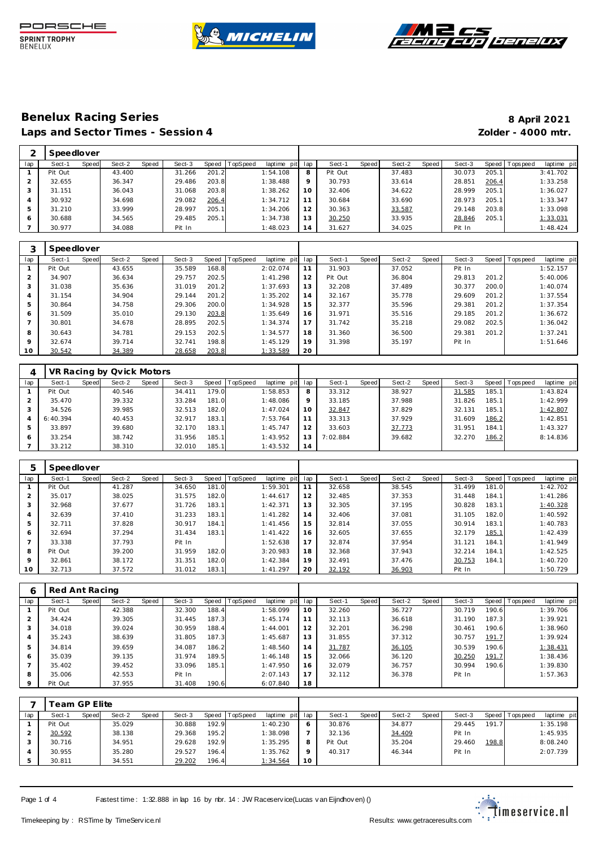





|     | Speedlover |       |        |       |        |       |          |             |         |         |       |        |       |        |         |            |             |
|-----|------------|-------|--------|-------|--------|-------|----------|-------------|---------|---------|-------|--------|-------|--------|---------|------------|-------------|
| lap | Sect-1     | Speed | Sect-2 | Speed | Sect-3 | Speed | TopSpeed | laptime pit | lap     | Sect-1  | Speed | Sect-2 | Speed | Sect-3 | Speed I | T ops peed | laptime pit |
|     | Pit Out    |       | 43.400 |       | 31.266 | 201.2 |          | 1:54.108    | 8       | Pit Out |       | 37.483 |       | 30.073 | 205.1   |            | 3:41.702    |
|     | 32.655     |       | 36.347 |       | 29.486 | 203.8 |          | 1:38.488    | $\circ$ | 30.793  |       | 33.614 |       | 28.851 | 206.4   |            | 1:33.258    |
|     | 31.151     |       | 36.043 |       | 31.068 | 203.8 |          | 1:38.262    | 10      | 32.406  |       | 34.622 |       | 28.999 | 205.1   |            | 1:36.027    |
|     | 30.932     |       | 34.698 |       | 29.082 | 206.4 |          | 1:34.712    | 11      | 30.684  |       | 33.690 |       | 28.973 | 205.1   |            | 1:33.347    |
| ь   | 31.210     |       | 33.999 |       | 28.997 | 205.1 |          | 1:34.206    | 12      | 30.363  |       | 33.587 |       | 29.148 | 203.8   |            | 1:33.098    |
| 6   | 30.688     |       | 34.565 |       | 29.485 | 205.1 |          | 1:34.738    | 13      | 30.250  |       | 33.935 |       | 28.846 | 205.1   |            | 1:33.031    |
|     | 30.977     |       | 34.088 |       | Pit In |       |          | 1:48.023    | 14      | 31.627  |       | 34.025 |       | Pit In |         |            | 1:48.424    |

|                | Speedlover |       |        |       |        |       |          |                |     |         |       |        |       |        |       |                |                |
|----------------|------------|-------|--------|-------|--------|-------|----------|----------------|-----|---------|-------|--------|-------|--------|-------|----------------|----------------|
| lap            | Sect-1     | Speed | Sect-2 | Speed | Sect-3 | Speed | TopSpeed | laptime<br>pit | lap | Sect-1  | Speed | Sect-2 | Speed | Sect-3 |       | Speed Topspeed | laptime<br>pit |
|                | Pit Out    |       | 43.655 |       | 35.589 | 168.8 |          | 2:02.074       | 11  | 31.903  |       | 37.052 |       | Pit In |       |                | 1:52.157       |
| $\overline{2}$ | 34.907     |       | 36.634 |       | 29.757 | 202.5 |          | 1:41.298       | 12  | Pit Out |       | 36.804 |       | 29.813 | 201.2 |                | 5:40.006       |
| 3              | 31.038     |       | 35.636 |       | 31.019 | 201.2 |          | 1:37.693       | 13  | 32.208  |       | 37.489 |       | 30.377 | 200.0 |                | 1:40.074       |
| $\overline{4}$ | 31.154     |       | 34.904 |       | 29.144 | 201.2 |          | 1:35.202       | 14  | 32.167  |       | 35.778 |       | 29.609 | 201.2 |                | 1:37.554       |
| 5              | 30.864     |       | 34.758 |       | 29.306 | 200.0 |          | 1:34.928       | 15  | 32.377  |       | 35.596 |       | 29.381 | 201.2 |                | 1:37.354       |
| 6              | 31.509     |       | 35.010 |       | 29.130 | 203.8 |          | 1:35.649       | 16  | 31.971  |       | 35.516 |       | 29.185 | 201.2 |                | 1:36.672       |
|                | 30.801     |       | 34.678 |       | 28.895 | 202.5 |          | 1:34.374       |     | 31.742  |       | 35.218 |       | 29.082 | 202.5 |                | 1:36.042       |
| 8              | 30.643     |       | 34.781 |       | 29.153 | 202.5 |          | 1:34.577       | 18  | 31.360  |       | 36.500 |       | 29.381 | 201.2 |                | 1:37.241       |
| 9              | 32.674     |       | 39.714 |       | 32.741 | 198.8 |          | 1:45.129       | 19  | 31.398  |       | 35.197 |       | Pit In |       |                | 1:51.646       |
| 10             | 30.542     |       | 34.389 |       | 28.658 | 203.8 |          | 1:33.589       | 20  |         |       |        |       |        |       |                |                |

|     |          |       | VR Racing by Qvick Motors |       |        |       |                |             |                 |          |       |        |       |        |       |                |             |
|-----|----------|-------|---------------------------|-------|--------|-------|----------------|-------------|-----------------|----------|-------|--------|-------|--------|-------|----------------|-------------|
| lap | Sect-1   | Speed | Sect-2                    | Speed | Sect-3 |       | Speed TopSpeed | laptime pit | lap             | Sect-1   | Speed | Sect-2 | Speed | Sect-3 |       | Speed Topspeed | laptime pit |
|     | Pit Out  |       | 40.546                    |       | 34.411 | 179.0 |                | 1:58.853    | 8               | 33.312   |       | 38.927 |       | 31.585 | 185.1 |                | 1:43.824    |
|     | 35.470   |       | 39.332                    |       | 33.284 | 181.0 |                | 1:48.086    | $\mathsf Q$     | 33.185   |       | 37.988 |       | 31.826 | 185.1 |                | 1:42.999    |
|     | 34.526   |       | 39.985                    |       | 32.513 | 182.0 |                | 1:47.024    | 10 <sup>°</sup> | 32.847   |       | 37.829 |       | 32.131 | 185.1 |                | 1:42.807    |
| 4   | 6:40.394 |       | 40.453                    |       | 32.917 | 183.1 |                | 7:53.764    |                 | 33.313   |       | 37.929 |       | 31.609 | 186.2 |                | 1:42.851    |
| 5   | 33.897   |       | 39.680                    |       | 32.170 | 183.1 |                | 1:45.747    | 12              | 33.603   |       | 37.773 |       | 31.951 | 184.1 |                | 1:43.327    |
| 6   | 33.254   |       | 38.742                    |       | 31.956 | 185.1 |                | 1:43.952    | 13              | 7:02.884 |       | 39.682 |       | 32.270 | 186.2 |                | 8:14.836    |
|     | 33.212   |       | 38.310                    |       | 32.010 | 185.1 |                | 1:43.532    | 14              |          |       |        |       |        |       |                |             |

| 5                        | Speedlover |       |        |       |        |       |                |             |     |        |       |        |       |        |       |                |             |
|--------------------------|------------|-------|--------|-------|--------|-------|----------------|-------------|-----|--------|-------|--------|-------|--------|-------|----------------|-------------|
| lap                      | Sect-1     | Speed | Sect-2 | Speed | Sect-3 |       | Speed TopSpeed | laptime pit | lap | Sect-1 | Speed | Sect-2 | Speed | Sect-3 |       | Speed Topspeed | laptime pit |
|                          | Pit Out    |       | 41.287 |       | 34.650 | 181.0 |                | 1:59.301    | 11  | 32.658 |       | 38.545 |       | 31.499 | 181.0 |                | 1:42.702    |
| 2                        | 35.017     |       | 38.025 |       | 31.575 | 182.0 |                | 1:44.617    | 12  | 32.485 |       | 37.353 |       | 31.448 | 184.1 |                | 1:41.286    |
| 3                        | 32.968     |       | 37.677 |       | 31.726 | 183.1 |                | 1:42.371    | 13  | 32.305 |       | 37.195 |       | 30.828 | 183.1 |                | 1:40.328    |
| 4                        | 32.639     |       | 37.410 |       | 31.233 | 183.1 |                | 1:41.282    | 14  | 32.406 |       | 37.081 |       | 31.105 | 182.0 |                | 1:40.592    |
| 5                        | 32.711     |       | 37.828 |       | 30.917 | 184.1 |                | 1: 41.456   | 15  | 32.814 |       | 37.055 |       | 30.914 | 183.1 |                | 1:40.783    |
| 6                        | 32.694     |       | 37.294 |       | 31.434 | 183.1 |                | 1:41.422    | 16  | 32.605 |       | 37.655 |       | 32.179 | 185.1 |                | 1:42.439    |
| $\overline{\phantom{a}}$ | 33.338     |       | 37.793 |       | Pit In |       |                | 1:52.638    | 17  | 32.874 |       | 37.954 |       | 31.121 | 184.1 |                | 1:41.949    |
| 8                        | Pit Out    |       | 39.200 |       | 31.959 | 182.0 |                | 3:20.983    | 18  | 32.368 |       | 37.943 |       | 32.214 | 184.1 |                | 1:42.525    |
| 9                        | 32.861     |       | 38.172 |       | 31.351 | 182.0 |                | 1:42.384    | 19  | 32.491 |       | 37.476 |       | 30.753 | 184.1 |                | 1:40.720    |
| 10                       | 32.713     |       | 37.572 |       | 31.012 | 183.1 |                | 1:41.297    | 20  | 32.192 |       | 36.903 |       | Pit In |       |                | 1:50.729    |

| O       | Red Ant Racing |       |        |       |        |       |          |             |     |        |       |        |       |        |       |                 |             |
|---------|----------------|-------|--------|-------|--------|-------|----------|-------------|-----|--------|-------|--------|-------|--------|-------|-----------------|-------------|
| lap     | Sect-1         | Speed | Sect-2 | Speed | Sect-3 | Speed | TopSpeed | laptime pit | lap | Sect-1 | Speed | Sect-2 | Speed | Sect-3 |       | Speed Tops peed | laptime pit |
|         | Pit Out        |       | 42.388 |       | 32.300 | 188.4 |          | 1:58.099    | 10  | 32.260 |       | 36.727 |       | 30.719 | 190.6 |                 | 1:39.706    |
| 2       | 34.424         |       | 39.305 |       | 31.445 | 187.3 |          | 1:45.174    | 11  | 32.113 |       | 36.618 |       | 31.190 | 187.3 |                 | 1:39.921    |
| 3       | 34.018         |       | 39.024 |       | 30.959 | 188.4 |          | 1:44.001    | 12  | 32.201 |       | 36.298 |       | 30.461 | 190.6 |                 | 1:38.960    |
| 4       | 35.243         |       | 38.639 |       | 31.805 | 187.3 |          | 1:45.687    | 13  | 31.855 |       | 37.312 |       | 30.757 | 191.7 |                 | 1:39.924    |
| 5       | 34.814         |       | 39.659 |       | 34.087 | 186.2 |          | 1:48.560    | 14  | 31.787 |       | 36.105 |       | 30.539 | 190.6 |                 | 1:38.431    |
| 6       | 35.039         |       | 39.135 |       | 31.974 | 189.5 |          | 1:46.148    | 15  | 32.066 |       | 36.120 |       | 30.250 | 191.7 |                 | 1:38.436    |
|         | 35.402         |       | 39.452 |       | 33.096 | 185.1 |          | 1:47.950    | 16  | 32.079 |       | 36.757 |       | 30.994 | 190.6 |                 | 1:39.830    |
| 8       | 35.006         |       | 42.553 |       | Pit In |       |          | 2:07.143    | 17  | 32.112 |       | 36.378 |       | Pit In |       |                 | 1:57.363    |
| $\circ$ | Pit Out        |       | 37.955 |       | 31.408 | 190.6 |          | 6:07.840    | 18  |        |       |        |       |        |       |                 |             |

|     |         | Геаm GP Elite |        |       |        |       |                 |                 |    |         |       |        |       |        |         |             |             |
|-----|---------|---------------|--------|-------|--------|-------|-----------------|-----------------|----|---------|-------|--------|-------|--------|---------|-------------|-------------|
| lap | Sect-1  | Speed         | Sect-2 | Speed | Sect-3 | Speed | <b>TopSpeed</b> | laptime pit lap |    | Sect-1  | Speed | Sect-2 | Speed | Sect-3 | Speed I | T ops pee d | laptime pit |
|     | Pit Out |               | 35.029 |       | 30.888 | 192.9 |                 | 1:40.230        |    | 30.876  |       | 34.877 |       | 29.445 | 191.71  |             | 1:35.198    |
|     | 30.592  |               | 38.138 |       | 29.368 | 195.2 |                 | 1:38.098        |    | 32.136  |       | 34.409 |       | Pit In |         |             | 1:45.935    |
|     | 30.716  |               | 34.951 |       | 29.628 | 192.9 |                 | 1:35.295        |    | Pit Out |       | 35.204 |       | 29.460 | 198.8   |             | 8:08.240    |
|     | 30.955  |               | 35.280 |       | 29.527 | 196.4 |                 | 1:35.762        |    | 40.317  |       | 46.344 |       | Pit In |         |             | 2:07.739    |
|     | 30.811  |               | 34.551 |       | 29.202 | 196.4 |                 | 1:34.564        | 10 |         |       |        |       |        |         |             |             |

Page 1 of 4 Fastest time : 1:32.888 in lap 16 by nbr. 14 : JW Raceserv ice(Lucas v an Eijndhov en) ()

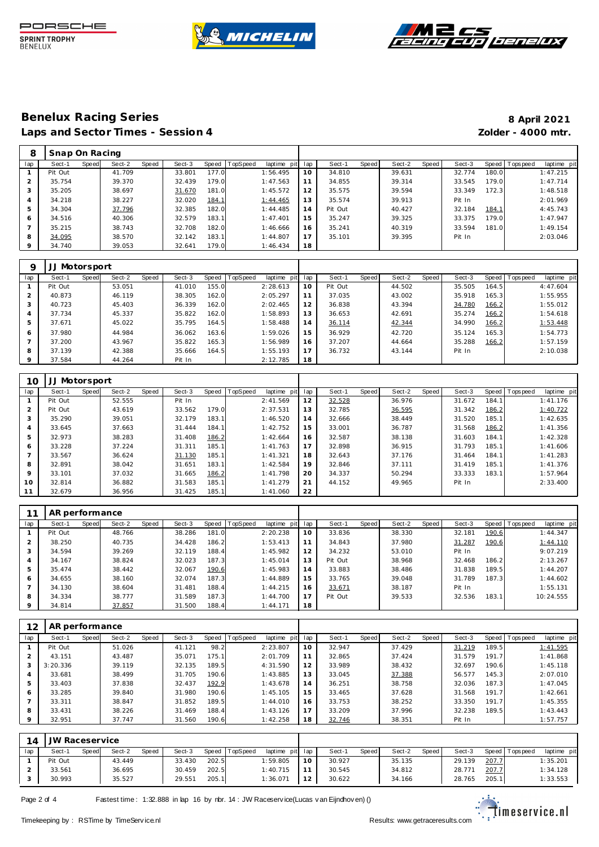





| 8       | Snap On Racing |       |        |       |        |       |                |             |     |         |       |        |       |        |       |           |             |
|---------|----------------|-------|--------|-------|--------|-------|----------------|-------------|-----|---------|-------|--------|-------|--------|-------|-----------|-------------|
| lap     | Sect-1         | Speed | Sect-2 | Speed | Sect-3 |       | Speed TopSpeed | laptime pit | lap | Sect-1  | Speed | Sect-2 | Speed | Sect-3 | Speed | Tops peed | laptime pit |
|         | Pit Out        |       | 41.709 |       | 33.801 | 177.0 |                | 1:56.495    | 10  | 34.810  |       | 39.631 |       | 32.774 | 180.0 |           | 1:47.215    |
|         | 35.754         |       | 39.370 |       | 32.439 | 179.0 |                | 1:47.563    | 11  | 34.855  |       | 39.314 |       | 33.545 | 179.0 |           | 1:47.714    |
| 3       | 35.205         |       | 38.697 |       | 31.670 | 181.0 |                | 1:45.572    | 12  | 35.575  |       | 39.594 |       | 33.349 | 172.3 |           | 1:48.518    |
| 4       | 34.218         |       | 38.227 |       | 32.020 | 184.1 |                | 1:44.465    | 13  | 35.574  |       | 39.913 |       | Pit In |       |           | 2:01.969    |
| 5       | 34.304         |       | 37.796 |       | 32.385 | 182.0 |                | 1:44.485    | 14  | Pit Out |       | 40.427 |       | 32.184 | 184.1 |           | 4:45.743    |
| 6       | 34.516         |       | 40.306 |       | 32.579 | 183.1 |                | 1:47.401    | 15  | 35.247  |       | 39.325 |       | 33.375 | 179.0 |           | 1:47.947    |
|         | 35.215         |       | 38.743 |       | 32.708 | 182.0 |                | 1:46.666    | 16  | 35.241  |       | 40.319 |       | 33.594 | 181.0 |           | 1:49.154    |
| 8       | 34.095         |       | 38.570 |       | 32.142 | 183.1 |                | 1:44.807    | 17  | 35.101  |       | 39.395 |       | Pit In |       |           | 2:03.046    |
| $\circ$ | 34.740         |       | 39.053 |       | 32.641 | 179.0 |                | 1:46.434    | 18  |         |       |        |       |        |       |           |             |

| Q       |         | Motorsport |        |       |        |       |                |             |     |         |       |        |       |        |       |                 |             |
|---------|---------|------------|--------|-------|--------|-------|----------------|-------------|-----|---------|-------|--------|-------|--------|-------|-----------------|-------------|
| lap     | Sect-1  | Speed      | Sect-2 | Speed | Sect-3 |       | Speed TopSpeed | laptime pit | lap | Sect-1  | Speed | Sect-2 | Speed | Sect-3 |       | Speed Tops peed | laptime pit |
|         | Pit Out |            | 53.051 |       | 41.010 | 155.0 |                | 2:28.613    | 10  | Pit Out |       | 44.502 |       | 35.505 | 164.5 |                 | 4:47.604    |
| 2       | 40.873  |            | 46.119 |       | 38.305 | 162.0 |                | 2:05.297    | 11  | 37.035  |       | 43.002 |       | 35.918 | 165.3 |                 | 1:55.955    |
| 3       | 40.723  |            | 45.403 |       | 36.339 | 162.0 |                | 2:02.465    | 12  | 36.838  |       | 43.394 |       | 34.780 | 166.2 |                 | 1:55.012    |
| 4       | 37.734  |            | 45.337 |       | 35.822 | 162.0 |                | 1:58.893    | 13  | 36.653  |       | 42.691 |       | 35.274 | 166.2 |                 | 1:54.618    |
| 5       | 37.671  |            | 45.022 |       | 35.795 | 164.5 |                | 1:58.488    | 14  | 36.114  |       | 42.344 |       | 34.990 | 166.2 |                 | 1:53.448    |
| 6       | 37.980  |            | 44.984 |       | 36.062 | 163.6 |                | 1:59.026    | 15  | 36.929  |       | 42.720 |       | 35.124 | 165.3 |                 | 1:54.773    |
|         | 37.200  |            | 43.967 |       | 35.822 | 165.3 |                | 1:56.989    | 16  | 37.207  |       | 44.664 |       | 35.288 | 166.2 |                 | 1:57.159    |
| 8       | 37.139  |            | 42.388 |       | 35.666 | 164.5 |                | 1:55.193    | 17  | 36.732  |       | 43.144 |       | Pit In |       |                 | 2:10.038    |
| $\circ$ | 37.584  |            | 44.264 |       | Pit In |       |                | 2:12.785    | 18  |         |       |        |       |        |       |                 |             |

| 10              | JJ Motorsport |       |        |       |        |       |                |             |     |        |       |        |       |        |       |                 |             |
|-----------------|---------------|-------|--------|-------|--------|-------|----------------|-------------|-----|--------|-------|--------|-------|--------|-------|-----------------|-------------|
| lap             | Sect-1        | Speed | Sect-2 | Speed | Sect-3 |       | Speed TopSpeed | laptime pit | lap | Sect-1 | Speed | Sect-2 | Speed | Sect-3 |       | Speed Tops peed | laptime pit |
|                 | Pit Out       |       | 52.555 |       | Pit In |       |                | 2:41.569    | 12  | 32.528 |       | 36.976 |       | 31.672 | 184.1 |                 | 1:41.176    |
| 2               | Pit Out       |       | 43.619 |       | 33.562 | 179.0 |                | 2:37.531    | 13  | 32.785 |       | 36.595 |       | 31.342 | 186.2 |                 | 1:40.722    |
| 3               | 35.290        |       | 39.051 |       | 32.179 | 183.1 |                | 1:46.520    | 14  | 32.666 |       | 38.449 |       | 31.520 | 185.1 |                 | 1:42.635    |
| $\overline{4}$  | 33.645        |       | 37.663 |       | 31.444 | 184.1 |                | 1:42.752    | 15  | 33.001 |       | 36.787 |       | 31.568 | 186.2 |                 | 1:41.356    |
| 5               | 32.973        |       | 38.283 |       | 31.408 | 186.2 |                | 1:42.664    | 16  | 32.587 |       | 38.138 |       | 31.603 | 184.1 |                 | 1:42.328    |
| 6               | 33.228        |       | 37.224 |       | 31.311 | 185.1 |                | 1:41.763    | 17  | 32.898 |       | 36.915 |       | 31.793 | 185.1 |                 | 1:41.606    |
|                 | 33.567        |       | 36.624 |       | 31.130 | 185.1 |                | 1:41.321    | 18  | 32.643 |       | 37.176 |       | 31.464 | 184.1 |                 | 1:41.283    |
| 8               | 32.891        |       | 38.042 |       | 31.651 | 183.1 |                | 1:42.584    | 19  | 32.846 |       | 37.111 |       | 31.419 | 185.1 |                 | 1:41.376    |
| 9               | 33.101        |       | 37.032 |       | 31.665 | 186.2 |                | 1:41.798    | 20  | 34.337 |       | 50.294 |       | 33.333 | 183.1 |                 | 1:57.964    |
| 10 <sup>°</sup> | 32.814        |       | 36.882 |       | 31.583 | 185.1 |                | 1:41.279    | 21  | 44.152 |       | 49.965 |       | Pit In |       |                 | 2:33.400    |
|                 | 32.679        |       | 36.956 |       | 31.425 | 185.1 |                | 1:41.060    | 22  |        |       |        |       |        |       |                 |             |

|     | AR performance |       |        |       |        |       |                 |                |     |         |       |        |       |        |       |                |             |
|-----|----------------|-------|--------|-------|--------|-------|-----------------|----------------|-----|---------|-------|--------|-------|--------|-------|----------------|-------------|
| lap | Sect-1         | Speed | Sect-2 | Speed | Sect-3 | Speed | <b>TopSpeed</b> | laptime<br>pit | lap | Sect-1  | Speed | Sect-2 | Speed | Sect-3 |       | Speed Topspeed | laptime pit |
|     | Pit Out        |       | 48.766 |       | 38.286 | 181.0 |                 | 2:20.238       | 10  | 33.836  |       | 38.330 |       | 32.181 | 190.6 |                | 1:44.347    |
| 2   | 38.250         |       | 40.735 |       | 34.428 | 186.2 |                 | 1:53.413       |     | 34.843  |       | 37.980 |       | 31.287 | 190.6 |                | 1:44.110    |
| 3   | 34.594         |       | 39.269 |       | 32.119 | 188.4 |                 | 1:45.982       | 12  | 34.232  |       | 53.010 |       | Pit In |       |                | 9:07.219    |
| 4   | 34.167         |       | 38.824 |       | 32.023 | 187.3 |                 | 1:45.014       | 13  | Pit Out |       | 38.968 |       | 32.468 | 186.2 |                | 2:13.267    |
| 5   | 35.474         |       | 38.442 |       | 32.067 | 190.6 |                 | 1:45.983       | 14  | 33.883  |       | 38.486 |       | 31.838 | 189.5 |                | 1:44.207    |
| 6   | 34.655         |       | 38.160 |       | 32.074 | 187.3 |                 | 1:44.889       | 15  | 33.765  |       | 39.048 |       | 31.789 | 187.3 |                | 1:44.602    |
|     | 34.130         |       | 38.604 |       | 31.481 | 188.4 |                 | 1:44.215       | 16  | 33.671  |       | 38.187 |       | Pit In |       |                | 1:55.131    |
| 8   | 34.334         |       | 38.777 |       | 31.589 | 187.3 |                 | 1:44.700       |     | Pit Out |       | 39.533 |       | 32.536 | 183.1 |                | 10:24.555   |
| 9   | 34.814         |       | 37.857 |       | 31.500 | 188.4 |                 | 1:44.171       | 18  |         |       |        |       |        |       |                |             |

| 12  | AR performance |       |        |       |        |       |          |             |     |        |       |        |       |        |       |                |             |
|-----|----------------|-------|--------|-------|--------|-------|----------|-------------|-----|--------|-------|--------|-------|--------|-------|----------------|-------------|
| lap | Sect-1         | Speed | Sect-2 | Speed | Sect-3 | Speed | TopSpeed | laptime pit | lap | Sect-1 | Speed | Sect-2 | Speed | Sect-3 |       | Speed Topspeed | laptime pit |
|     | Pit Out        |       | 51.026 |       | 41.121 | 98.2  |          | 2:23.807    | 10  | 32.947 |       | 37.429 |       | 31.219 | 189.5 |                | 1:41.595    |
|     | 43.151         |       | 43.487 |       | 35.071 | 175.1 |          | 2:01.709    | 11  | 32.865 |       | 37.424 |       | 31.579 | 191.7 |                | 1:41.868    |
|     | 3:20.336       |       | 39.119 |       | 32.135 | 189.5 |          | 4:31.590    | 12  | 33.989 |       | 38.432 |       | 32.697 | 190.6 |                | 1:45.118    |
|     | 33.681         |       | 38.499 |       | 31.705 | 190.6 |          | 1:43.885    | 13  | 33.045 |       | 37.388 |       | 56.577 | 145.3 |                | 2:07.010    |
|     | 33.403         |       | 37.838 |       | 32.437 | 192.9 |          | 1:43.678    | 14  | 36.251 |       | 38.758 |       | 32.036 | 187.3 |                | 1:47.045    |
| 6   | 33.285         |       | 39.840 |       | 31.980 | 190.6 |          | 1:45.105    | 15  | 33.465 |       | 37.628 |       | 31.568 | 191.7 |                | 1:42.661    |
|     | 33.311         |       | 38.847 |       | 31.852 | 189.5 |          | 1:44.010    | 16  | 33.753 |       | 38.252 |       | 33.350 | 191.7 |                | 1:45.355    |
| 8   | 33.431         |       | 38.226 |       | 31.469 | 188.4 |          | 1:43.126    | 17  | 33.209 |       | 37.996 |       | 32.238 | 189.5 |                | 1:43.443    |
| 9   | 32.951         |       | 37.747 |       | 31.560 | 190.6 |          | 1:42.258    | 18  | 32.746 |       | 38.351 |       | Pit In |       |                | 1:57.757    |

| 14  | JW Raceservice |       |        |       |        |       |                |                 |                   |        |              |        |       |        |       |                 |             |  |
|-----|----------------|-------|--------|-------|--------|-------|----------------|-----------------|-------------------|--------|--------------|--------|-------|--------|-------|-----------------|-------------|--|
| lap | Sect-1         | Speed | Sect-2 | Speed | Sect-3 |       | Speed TopSpeed | laptime pit lap |                   | Sect-1 | <b>Speed</b> | Sect-2 | Speed | Sect-3 |       | Speed Tops peed | laptime pit |  |
|     | Pit Out        |       | 43.449 |       | 33.430 | 202.5 |                | :59.805         | 10                | 30.927 |              | 35.135 |       | 29.139 | 207.7 |                 | 1:35.201    |  |
|     | 33.561         |       | 36.695 |       | 30.459 | 202.5 |                | 1:40.715        |                   | 30.545 |              | 34.812 |       | 28.771 | 207.7 |                 | 1:34.128    |  |
|     | 30.993         |       | 35.527 |       | 29.551 | 205.1 |                | 1:36.071        | $12 \overline{ }$ | 30.622 |              | 34.166 |       | 28.765 | 205.1 |                 | 1:33.553    |  |

Page 2 of 4 Fastest time : 1:32.888 in lap 16 by nbr. 14 : JW Raceserv ice(Lucas v an Eijndhov en) ()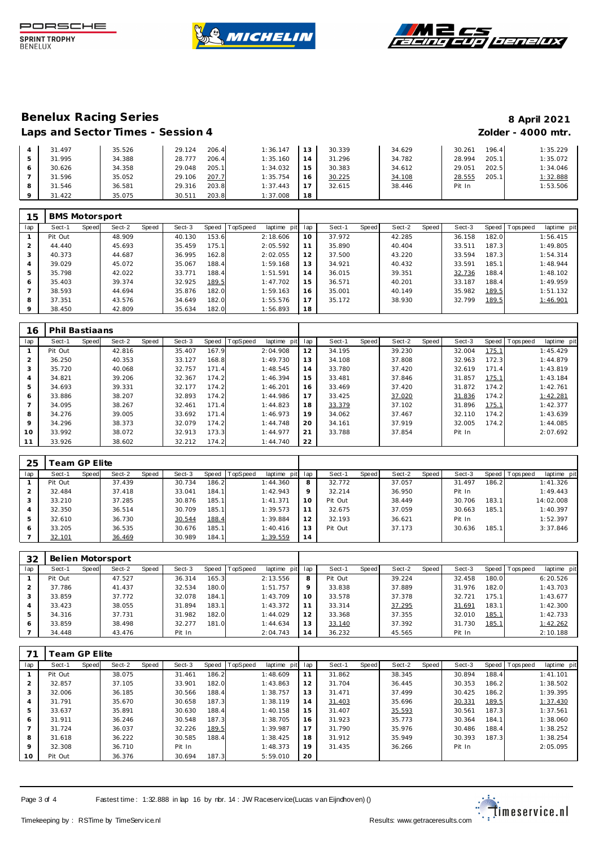





|   | 31.497 | 35.526 | 206.4<br>29.124 | 1:36.147 | 30.339       | 34.629 | 196.4<br>30.261 | 1:35.229 |
|---|--------|--------|-----------------|----------|--------------|--------|-----------------|----------|
|   | 31.995 | 34.388 | 206.4<br>28.777 | 1:35.160 | 31.296<br>4  | 34.782 | 205.1<br>28.994 | 1:35.072 |
|   | 30.626 | 34.358 | 205.1<br>29.048 | 1:34.032 | 15<br>30.383 | 34.612 | 202.5<br>29.051 | 1:34.046 |
|   | 31.596 | 35.052 | 207.7<br>29.106 | 1:35.754 | 30.225<br>16 | 34.108 | 205.1<br>28.555 | 1:32.888 |
| 8 | 31.546 | 36.581 | 203.8<br>29.316 | 1:37.443 | 32.615       | 38.446 | Pit In          | 1:53.506 |
|   | 31.422 | 35.075 | 203.8<br>30.511 | 1:37.008 | 18           |        |                 |          |

| 15  | <b>BMS Motorsport</b> |       |        |       |        |       |          |             |     |        |       |        |       |        |       |           |             |
|-----|-----------------------|-------|--------|-------|--------|-------|----------|-------------|-----|--------|-------|--------|-------|--------|-------|-----------|-------------|
| lap | Sect-1                | Speed | Sect-2 | Speed | Sect-3 | Speed | TopSpeed | laptime pit | lap | Sect-1 | Speed | Sect-2 | Speed | Sect-3 | Speed | Tops peed | laptime pit |
|     | Pit Out               |       | 48.909 |       | 40.130 | 153.6 |          | 2:18.606    | 10  | 37.972 |       | 42.285 |       | 36.158 | 182.0 |           | 1:56.415    |
|     | 44.440                |       | 45.693 |       | 35.459 | 175.1 |          | 2:05.592    | 11  | 35.890 |       | 40.404 |       | 33.511 | 187.3 |           | 1:49.805    |
| 3   | 40.373                |       | 44.687 |       | 36.995 | 162.8 |          | 2:02.055    | 12  | 37.500 |       | 43.220 |       | 33.594 | 187.3 |           | 1:54.314    |
|     | 39.029                |       | 45.072 |       | 35.067 | 188.4 |          | 1:59.168    | 13  | 34.921 |       | 40.432 |       | 33.591 | 185.1 |           | 1:48.944    |
|     | 35.798                |       | 42.022 |       | 33.771 | 188.4 |          | 1:51.591    | 14  | 36.015 |       | 39.351 |       | 32.736 | 188.4 |           | 1:48.102    |
| 6   | 35.403                |       | 39.374 |       | 32.925 | 189.5 |          | 1:47.702    | 15  | 36.571 |       | 40.201 |       | 33.187 | 188.4 |           | 1:49.959    |
|     | 38.593                |       | 44.694 |       | 35.876 | 182.0 |          | 1:59.163    | 16  | 35.001 |       | 40.149 |       | 35.982 | 189.5 |           | 1:51.132    |
| 8   | 37.351                |       | 43.576 |       | 34.649 | 182.0 |          | 1:55.576    | 17  | 35.172 |       | 38.930 |       | 32.799 | 189.5 |           | 1:46.901    |
|     | 38.450                |       | 42.809 |       | 35.634 | 182.0 |          | 1:56.893    | 18  |        |       |        |       |        |       |           |             |

| 16             | Phil Bastiaans |       |        |       |        |       |          |             |     |        |       |        |       |        |       |          |             |
|----------------|----------------|-------|--------|-------|--------|-------|----------|-------------|-----|--------|-------|--------|-------|--------|-------|----------|-------------|
| lap            | Sect-1         | Speed | Sect-2 | Speed | Sect-3 | Speed | TopSpeed | laptime pit | lap | Sect-1 | Speed | Sect-2 | Speed | Sect-3 | Speed | Topspeed | laptime pit |
|                | Pit Out        |       | 42.816 |       | 35.407 | 167.9 |          | 2:04.908    | 12  | 34.195 |       | 39.230 |       | 32.004 | 175.1 |          | 1:45.429    |
| $\overline{2}$ | 36.250         |       | 40.353 |       | 33.127 | 168.8 |          | 1:49.730    | 13  | 34.108 |       | 37.808 |       | 32.963 | 172.3 |          | 1:44.879    |
| 3              | 35.720         |       | 40.068 |       | 32.757 | 171.4 |          | 1:48.545    | 14  | 33.780 |       | 37.420 |       | 32.619 | 171.4 |          | 1:43.819    |
| $\overline{4}$ | 34.821         |       | 39.206 |       | 32.367 | 174.2 |          | 1:46.394    | 15  | 33.481 |       | 37.846 |       | 31.857 | 175.1 |          | 1:43.184    |
| 5              | 34.693         |       | 39.331 |       | 32.177 | 174.2 |          | 1:46.201    | 16  | 33.469 |       | 37.420 |       | 31.872 | 174.2 |          | 1:42.761    |
| 6              | 33.886         |       | 38.207 |       | 32.893 | 174.2 |          | 1:44.986    | 17  | 33.425 |       | 37.020 |       | 31.836 | 174.2 |          | 1:42.281    |
|                | 34.095         |       | 38.267 |       | 32.461 | 171.4 |          | 1:44.823    | 18  | 33.379 |       | 37.102 |       | 31.896 | 175.1 |          | 1:42.377    |
| 8              | 34.276         |       | 39.005 |       | 33.692 | 171.4 |          | 1:46.973    | 19  | 34.062 |       | 37.467 |       | 32.110 | 174.2 |          | 1:43.639    |
| 9              | 34.296         |       | 38.373 |       | 32.079 | 174.2 |          | 1:44.748    | 20  | 34.161 |       | 37.919 |       | 32.005 | 174.2 |          | 1:44.085    |
| 10             | 33.992         |       | 38.072 |       | 32.913 | 173.3 |          | 1:44.977    | 21  | 33.788 |       | 37.854 |       | Pit In |       |          | 2:07.692    |
| 11             | 33.926         |       | 38.602 |       | 32.212 | 174.2 |          | 1:44.740    | 22  |        |       |        |       |        |       |          |             |

| 25  | eam GP Elite |       |        |       |        |       |          |             |                 |         |       |        |       |        |       |                 |             |
|-----|--------------|-------|--------|-------|--------|-------|----------|-------------|-----------------|---------|-------|--------|-------|--------|-------|-----------------|-------------|
| lap | Sect-1       | Speed | Sect-2 | Speed | Sect-3 | Speed | TopSpeed | laptime pit | lap             | Sect-1  | Speed | Sect-2 | Speed | Sect-3 |       | Speed Tops peed | laptime pit |
|     | Pit Out      |       | 37.439 |       | 30.734 | 186.2 |          | 1:44.360    | 8               | 32.772  |       | 37.057 |       | 31.497 | 186.2 |                 | 1:41.326    |
|     | 32.484       |       | 37.418 |       | 33.041 | 184.1 |          | 1:42.943    | 9               | 32.214  |       | 36.950 |       | Pit In |       |                 | 1:49.443    |
| 3   | 33.210       |       | 37.285 |       | 30.876 | 185.1 |          | 1: 41.371   | 10 <sup>°</sup> | Pit Out |       | 38.449 |       | 30.706 | 183.1 |                 | 14:02.008   |
|     | 32.350       |       | 36.514 |       | 30.709 | 185.1 |          | 1:39.573    | 11              | 32.675  |       | 37.059 |       | 30.663 | 185.1 |                 | 1:40.397    |
| 5   | 32.610       |       | 36.730 |       | 30.544 | 188.4 |          | 1:39.884    | 12              | 32.193  |       | 36.621 |       | Pit In |       |                 | 1:52.397    |
| 6   | 33.205       |       | 36.535 |       | 30.676 | 185.1 |          | 1:40.416    | 13              | Pit Out |       | 37.173 |       | 30.636 | 185.1 |                 | 3:37.846    |
|     | 32.101       |       | 36.469 |       | 30.989 | 184.1 |          | 1:39.559    | 14              |         |       |        |       |        |       |                 |             |

| 32  |         |       | Belien Motorsport |       |        |       |          |             |                 |         |              |        |       |        |       |                   |             |
|-----|---------|-------|-------------------|-------|--------|-------|----------|-------------|-----------------|---------|--------------|--------|-------|--------|-------|-------------------|-------------|
| lap | Sect-1  | Speed | Sect-2            | Speed | Sect-3 | Speed | TopSpeed | laptime pit | lap             | Sect-1  | <b>Speed</b> | Sect-2 | Speed | Sect-3 |       | Speed   Tops peed | laptime pit |
|     | Pit Out |       | 47.527            |       | 36.314 | 165.3 |          | 2:13.556    | 8               | Pit Out |              | 39.224 |       | 32.458 | 180.0 |                   | 6:20.526    |
|     | 37.786  |       | 41.437            |       | 32.534 | 180.0 |          | 1:51.757    | $\circ$         | 33.838  |              | 37.889 |       | 31.976 | 182.0 |                   | 1:43.703    |
| 3   | 33.859  |       | 37.772            |       | 32.078 | 184.1 |          | 1:43.709    | 10 <sup>°</sup> | 33.578  |              | 37.378 |       | 32.721 | 175.1 |                   | 1:43.677    |
|     | 33.423  |       | 38.055            |       | 31.894 | 183.1 |          | 1:43.372    | 11              | 33.314  |              | 37.295 |       | 31.691 | 183.1 |                   | 1:42.300    |
| 5   | 34.316  |       | 37.731            |       | 31.982 | 182.0 |          | 1:44.029    | 12              | 33.368  |              | 37.355 |       | 32.010 | 185.1 |                   | 1:42.733    |
| 6   | 33.859  |       | 38.498            |       | 32.277 | 181.0 |          | 1:44.634    | 13              | 33.140  |              | 37.392 |       | 31.730 | 185.1 |                   | 1:42.262    |
|     | 34.448  |       | 43.476            |       | Pit In |       |          | 2:04.743    | 14              | 36.232  |              | 45.565 |       | Pit In |       |                   | 2:10.188    |

| 71             |         | <sup>-</sup> eam GP Elite |        |       |        |       |                |             |     |        |       |        |       |        |       |                 |             |
|----------------|---------|---------------------------|--------|-------|--------|-------|----------------|-------------|-----|--------|-------|--------|-------|--------|-------|-----------------|-------------|
| lap            | Sect-1  | Speed                     | Sect-2 | Speed | Sect-3 |       | Speed TopSpeed | laptime pit | lap | Sect-1 | Speed | Sect-2 | Speed | Sect-3 |       | Speed Tops peed | laptime pit |
|                | Pit Out |                           | 38.075 |       | 31.461 | 186.2 |                | 1:48.609    | 11  | 31.862 |       | 38.345 |       | 30.894 | 188.4 |                 | 1:41.101    |
| $\overline{2}$ | 32.857  |                           | 37.105 |       | 33.901 | 182.0 |                | 1:43.863    | 12  | 31.704 |       | 36.445 |       | 30.353 | 186.2 |                 | 1:38.502    |
| 3              | 32.006  |                           | 36.185 |       | 30.566 | 188.4 |                | 1:38.757    | 13  | 31.471 |       | 37.499 |       | 30.425 | 186.2 |                 | 1:39.395    |
| $\overline{4}$ | 31.791  |                           | 35.670 |       | 30.658 | 187.3 |                | 1:38.119    | 14  | 31.403 |       | 35.696 |       | 30.331 | 189.5 |                 | 1:37.430    |
| 5              | 33.637  |                           | 35.891 |       | 30.630 | 188.4 |                | 1:40.158    | 15  | 31.407 |       | 35.593 |       | 30.561 | 187.3 |                 | 1:37.561    |
| 6              | 31.911  |                           | 36.246 |       | 30.548 | 187.3 |                | 1:38.705    | 16  | 31.923 |       | 35.773 |       | 30.364 | 184.1 |                 | 1:38.060    |
|                | 31.724  |                           | 36.037 |       | 32.226 | 189.5 |                | 1:39.987    | 17  | 31.790 |       | 35.976 |       | 30.486 | 188.4 |                 | 1:38.252    |
| 8              | 31.618  |                           | 36.222 |       | 30.585 | 188.4 |                | 1:38.425    | 18  | 31.912 |       | 35.949 |       | 30.393 | 187.3 |                 | 1:38.254    |
| 9              | 32.308  |                           | 36.710 |       | Pit In |       |                | 1:48.373    | 19  | 31.435 |       | 36.266 |       | Pit In |       |                 | 2:05.095    |
| 10             | Pit Out |                           | 36.376 |       | 30.694 | 187.3 |                | 5:59.010    | 20  |        |       |        |       |        |       |                 |             |